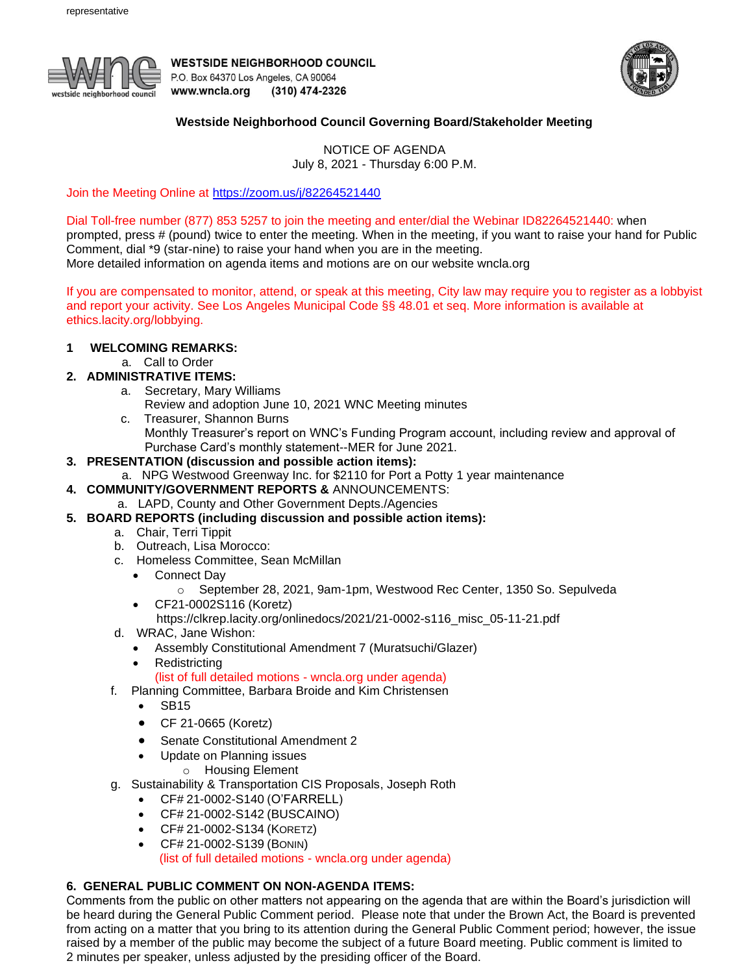

**WESTSIDE NEIGHBORHOOD COUNCIL** P.O. Box 64370 Los Angeles, CA 90064 www.wncla.org (310) 474-2326



## **Westside Neighborhood Council Governing Board/Stakeholder Meeting**

NOTICE OF AGENDA July 8, 2021 - Thursday 6:00 P.M.

Join the Meeting Online at <https://zoom.us/j/82264521440>

Dial Toll-free number (877) 853 5257 to join the meeting and enter/dial the Webinar ID82264521440: when prompted, press # (pound) twice to enter the meeting. When in the meeting, if you want to raise your hand for Public

Comment, dial \*9 (star-nine) to raise your hand when you are in the meeting.

More detailed information on agenda items and motions are on our website wncla.org

If you are compensated to monitor, attend, or speak at this meeting, City law may require you to register as a lobbyist and report your activity. See Los Angeles Municipal Code §§ 48.01 et seq. More information is available at ethics.lacity.org/lobbying.

## **1 WELCOMING REMARKS:**

- a. Call to Order
- **2. ADMINISTRATIVE ITEMS:**
	- a. Secretary, Mary Williams
		- Review and adoption June 10, 2021 WNC Meeting minutes
	- c. Treasurer, Shannon Burns
		- Monthly Treasurer's report on WNC's Funding Program account, including review and approval of Purchase Card's monthly statement--MER for June 2021.
- **3. PRESENTATION (discussion and possible action items):**
	- a. NPG Westwood Greenway Inc. for \$2110 for Port a Potty 1 year maintenance
- **4. COMMUNITY/GOVERNMENT REPORTS &** ANNOUNCEMENTS:
	- a. LAPD, County and Other Government Depts./Agencies
- **5. BOARD REPORTS (including discussion and possible action items):** 
	- a. Chair, Terri Tippit
	- b. Outreach, Lisa Morocco:
	- c. Homeless Committee, Sean McMillan
		- Connect Day
			- o September 28, 2021, 9am-1pm, Westwood Rec Center, 1350 So. Sepulveda
		- CF21-0002S116 (Koretz)
			- https://clkrep.lacity.org/onlinedocs/2021/21-0002-s116\_misc\_05-11-21.pdf
	- d. WRAC, Jane Wishon:
		- Assembly Constitutional Amendment 7 (Muratsuchi/Glazer)
		- Redistricting

(list of full detailed motions - wncla.org under agenda)

- f. Planning Committee, Barbara Broide and Kim Christensen
	- SB15
	- CF 21-0665 (Koretz)
	- Senate Constitutional Amendment 2
	- Update on Planning issues
		- o Housing Element
- g. Sustainability & Transportation CIS Proposals, Joseph Roth
	- CF# 21-0002-S140 (O'FARRELL)
	- CF# 21-0002-S142 (BUSCAINO)
	- CF# 21-0002-S134 (KORETZ)
	- CF# 21-0002-S139 (BONIN)

(list of full detailed motions - wncla.org under agenda)

## **6. GENERAL PUBLIC COMMENT ON NON-AGENDA ITEMS:**

Comments from the public on other matters not appearing on the agenda that are within the Board's jurisdiction will be heard during the General Public Comment period. Please note that under the Brown Act, the Board is prevented from acting on a matter that you bring to its attention during the General Public Comment period; however, the issue raised by a member of the public may become the subject of a future Board meeting. Public comment is limited to 2 minutes per speaker, unless adjusted by the presiding officer of the Board.